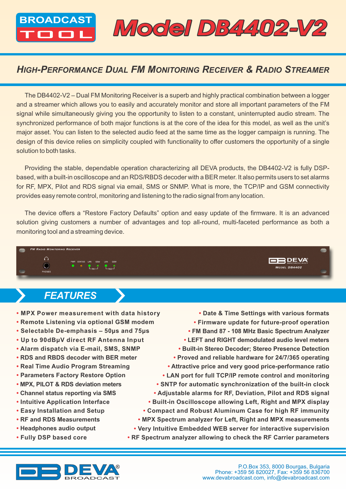BROADCAST Model DB4402-V2

### *HIGH-PERFORMANCE DUAL FM MONITORING RECEIVER & RADIO STREAMER*

The DB4402-V2 – Dual FM Monitoring Receiver is a superb and highly practical combination between a logger and a streamer which allows you to easily and accurately monitor and store all important parameters of the FM signal while simultaneously giving you the opportunity to listen to a constant, uninterrupted audio stream. The synchronized performance of both major functions is at the core of the idea for this model, as well as the unit's major asset. You can listen to the selected audio feed at the same time as the logger campaign is running. The design of this device relies on simplicity coupled with functionality to offer customers the opportunity of a single solution to both tasks.

Providing the stable, dependable operation characterizing all DEVA products, the DB4402-V2 is fully DSPbased, with a built-in oscilloscope and an RDS/RBDS decoder with a BER meter. It also permits users to set alarms for RF, MPX, Pilot and RDS signal via email, SMS or SNMP. What is more, the TCP/IP and GSM connectivity provides easy remote control, monitoring and listening to the radio signal from any location.

The device offers a "Restore Factory Defaults" option and easy update of the firmware. It is an advanced solution giving customers a number of advantages and top all-round, multi-faceted performance as both a monitoring tool and a streaming device.



## *FEATURES*

- **• MPX Power measurement with data history**
- **• Remote Listening via optional GSM modem**
- **• Selectable De-emphasis 50µs and 75µs**
- **• Up to 90dBµV direct RF Antenna Input**
- **• Alarm dispatch via E-mail, SMS, SNMP**
- **RDS and RBDS decoder with BER meter**
- **• Real Time Audio Program Streaming**
- **• Parameters Factory Restore Option**
- **• MPX, PILOT & RDS deviation meters**
- **• Channel status reporting via SMS**
- **• Intuitive Application Interface**
- **• Easy Installation and Setup**
- **RF and RDS Measurements**
- **Headphones audio output**
- **• Fully DSP based core**

**• Date & Time Settings with various formats • Firmware update for future-proof operation • FM Band 87 - 108 MHz Basic Spectrum Analyzer • LEFT and RIGHT demodulated audio level meters • Built-in Stereo Decoder; Stereo Presence Detection • Proved and reliable hardware for 24/7/365 operating • Attractive price and very good price-performance ratio • LAN port for full TCP/IP remote control and monitoring • SNTP for automatic synchronization of the built-in clock • Adjustable alarms for RF, Deviation, Pilot and RDS signal • Built-in Oscilloscope allowing Left, Right and MPX display • Compact and Robust Aluminum Case for high RF immunity • MPX Spectrum analyzer for Left, Right and MPX measurements • Very Intuitive Embedded WEB server for interactive supervision**

**• RF Spectrum analyzer allowing to check the RF Carrier parameters**



**FBDEVA** 

MODEL DB4402